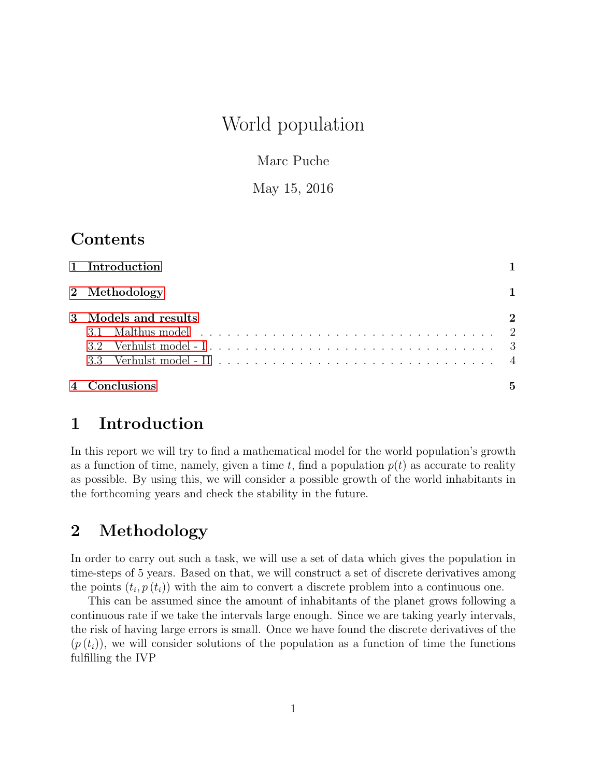# World population

Marc Puche

May 15, 2016

## Contents

| 1 Introduction       |                             |
|----------------------|-----------------------------|
| 2 Methodology        |                             |
| 3 Models and results | $\mathcal{D}_{\mathcal{L}}$ |
| 4 Conclusions        | 5                           |

### <span id="page-0-0"></span>1 Introduction

In this report we will try to find a mathematical model for the world population's growth as a function of time, namely, given a time t, find a population  $p(t)$  as accurate to reality as possible. By using this, we will consider a possible growth of the world inhabitants in the forthcoming years and check the stability in the future.

# <span id="page-0-1"></span>2 Methodology

In order to carry out such a task, we will use a set of data which gives the population in time-steps of 5 years. Based on that, we will construct a set of discrete derivatives among the points  $(t_i, p(t_i))$  with the aim to convert a discrete problem into a continuous one.

This can be assumed since the amount of inhabitants of the planet grows following a continuous rate if we take the intervals large enough. Since we are taking yearly intervals, the risk of having large errors is small. Once we have found the discrete derivatives of the  $(p(t_i))$ , we will consider solutions of the population as a function of time the functions fulfilling the IVP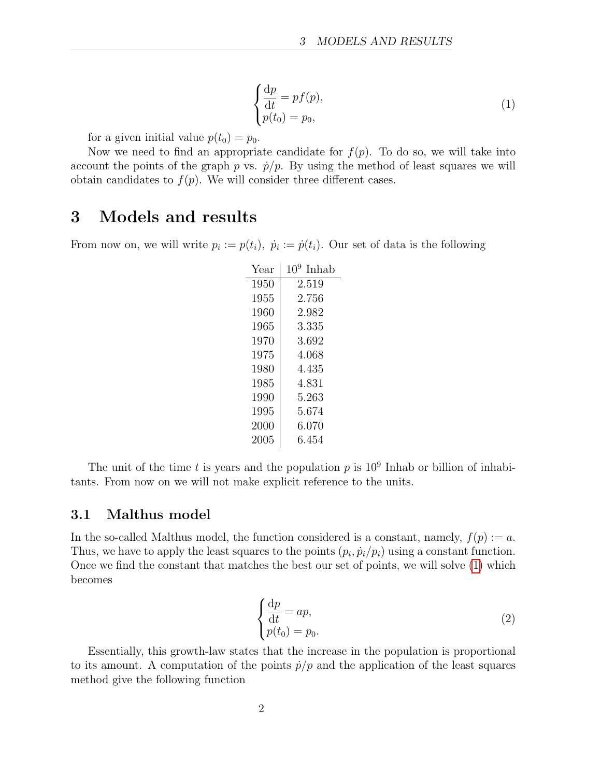<span id="page-1-2"></span>
$$
\begin{cases} \frac{\mathrm{d}p}{\mathrm{d}t} = pf(p), \\ p(t_0) = p_0, \end{cases}
$$
 (1)

for a given initial value  $p(t_0) = p_0$ .

Now we need to find an appropriate candidate for  $f(p)$ . To do so, we will take into account the points of the graph p vs.  $\dot{p}/p$ . By using the method of least squares we will obtain candidates to  $f(p)$ . We will consider three different cases.

### <span id="page-1-0"></span>3 Models and results

From now on, we will write  $p_i := p(t_i)$ ,  $\dot{p}_i := \dot{p}(t_i)$ . Our set of data is the following

| Year | 10<br>Inhab |
|------|-------------|
| 1950 | 2.519       |
| 1955 | 2.756       |
| 1960 | 2.982       |
| 1965 | 3.335       |
| 1970 | 3.692       |
| 1975 | 4.068       |
| 1980 | 4.435       |
| 1985 | 4.831       |
| 1990 | $5.263\,$   |
| 1995 | 5.674       |
| 2000 | 6.070       |
| 2005 | 6.454       |

The unit of the time t is years and the population p is  $10^9$  Inhab or billion of inhabitants. From now on we will not make explicit reference to the units.

#### <span id="page-1-1"></span>3.1 Malthus model

In the so-called Malthus model, the function considered is a constant, namely,  $f(p) := a$ . Thus, we have to apply the least squares to the points  $(p_i, \dot{p}_i/p_i)$  using a constant function. Once we find the constant that matches the best our set of points, we will solve [\(1\)](#page-1-2) which becomes

<span id="page-1-3"></span>
$$
\begin{cases} \frac{\mathrm{d}p}{\mathrm{d}t} = ap, \\ p(t_0) = p_0. \end{cases} \tag{2}
$$

Essentially, this growth-law states that the increase in the population is proportional to its amount. A computation of the points  $\dot{p}/p$  and the application of the least squares method give the following function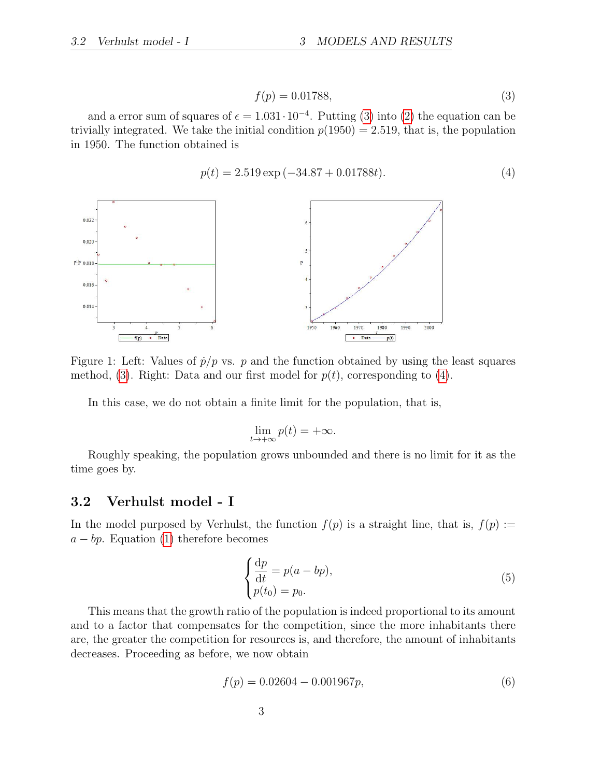<span id="page-2-1"></span>
$$
f(p) = 0.01788,\t\t(3)
$$

and a error sum of squares of  $\epsilon = 1.031 \cdot 10^{-4}$ . Putting [\(3\)](#page-2-1) into [\(2\)](#page-1-3) the equation can be trivially integrated. We take the initial condition  $p(1950) = 2.519$ , that is, the population in 1950. The function obtained is

<span id="page-2-2"></span>
$$
p(t) = 2.519 \exp(-34.87 + 0.01788t). \tag{4}
$$



Figure 1: Left: Values of  $\dot{p}/p$  vs. p and the function obtained by using the least squares method, [\(3\)](#page-2-1). Right: Data and our first model for  $p(t)$ , corresponding to [\(4\)](#page-2-2).

In this case, we do not obtain a finite limit for the population, that is,

$$
\lim_{t \to +\infty} p(t) = +\infty.
$$

Roughly speaking, the population grows unbounded and there is no limit for it as the time goes by.

#### <span id="page-2-0"></span>3.2 Verhulst model - I

In the model purposed by Verhulst, the function  $f(p)$  is a straight line, that is,  $f(p) :=$  $a - bp$ . Equation [\(1\)](#page-1-2) therefore becomes

<span id="page-2-4"></span>
$$
\begin{cases} \frac{\mathrm{d}p}{\mathrm{d}t} = p(a - bp), \\ p(t_0) = p_0. \end{cases}
$$
 (5)

This means that the growth ratio of the population is indeed proportional to its amount and to a factor that compensates for the competition, since the more inhabitants there are, the greater the competition for resources is, and therefore, the amount of inhabitants decreases. Proceeding as before, we now obtain

<span id="page-2-3"></span>
$$
f(p) = 0.02604 - 0.001967p,\tag{6}
$$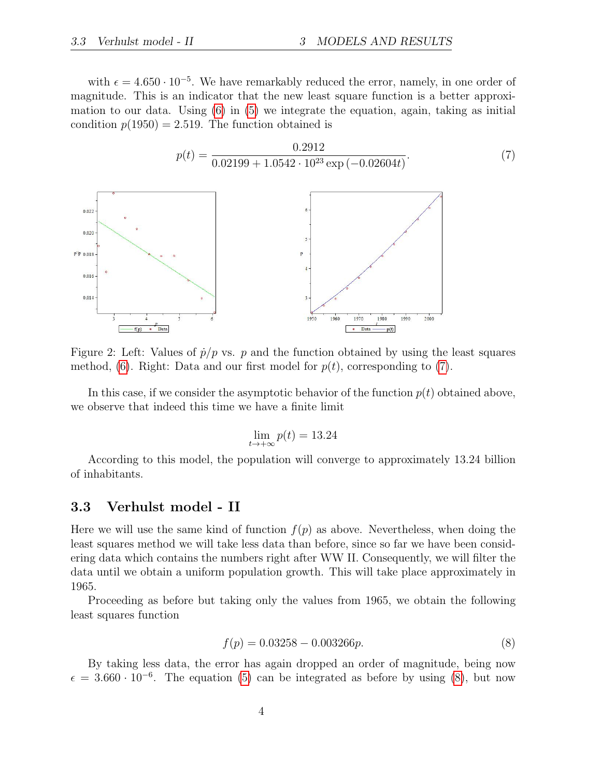with  $\epsilon = 4.650 \cdot 10^{-5}$ . We have remarkably reduced the error, namely, in one order of magnitude. This is an indicator that the new least square function is a better approximation to our data. Using [\(6\)](#page-2-3) in [\(5\)](#page-2-4) we integrate the equation, again, taking as initial condition  $p(1950) = 2.519$ . The function obtained is

<span id="page-3-1"></span>

Figure 2: Left: Values of  $\dot{p}/p$  vs. p and the function obtained by using the least squares method, [\(6\)](#page-2-3). Right: Data and our first model for  $p(t)$ , corresponding to [\(7\)](#page-3-1).

In this case, if we consider the asymptotic behavior of the function  $p(t)$  obtained above, we observe that indeed this time we have a finite limit

$$
\lim_{t \to +\infty} p(t) = 13.24
$$

According to this model, the population will converge to approximately 13.24 billion of inhabitants.

#### <span id="page-3-0"></span>3.3 Verhulst model - II

Here we will use the same kind of function  $f(p)$  as above. Nevertheless, when doing the least squares method we will take less data than before, since so far we have been considering data which contains the numbers right after WW II. Consequently, we will filter the data until we obtain a uniform population growth. This will take place approximately in 1965.

Proceeding as before but taking only the values from 1965, we obtain the following least squares function

<span id="page-3-2"></span>
$$
f(p) = 0.03258 - 0.003266p.
$$
 (8)

By taking less data, the error has again dropped an order of magnitude, being now  $\epsilon = 3.660 \cdot 10^{-6}$ . The equation [\(5\)](#page-2-4) can be integrated as before by using [\(8\)](#page-3-2), but now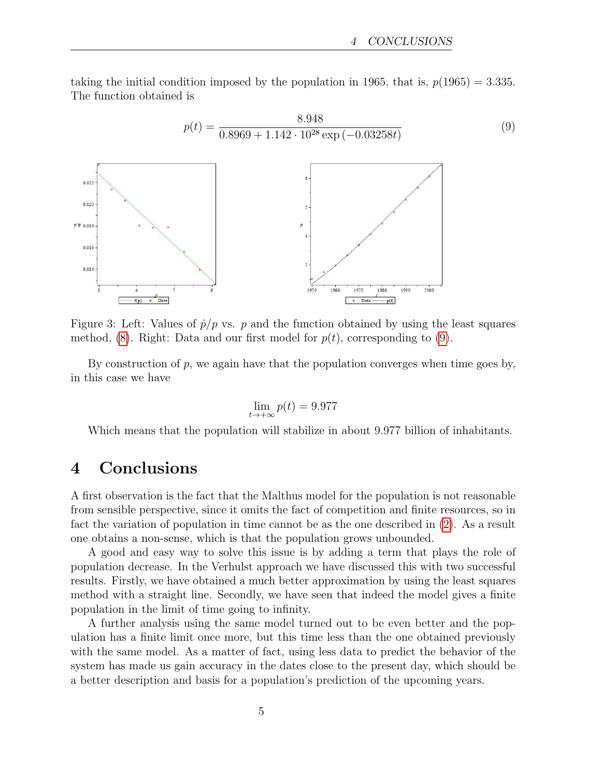(9)

<span id="page-4-1"></span>taking the initial condition imposed by the population in 1965, that is,  $p(1965) = 3.335$ . The function obtained is



Figure 3: Left: Values of  $\dot{p}/p$  vs. p and the function obtained by using the least squares method,  $(8)$ . Right: Data and our first model for  $p(t)$ , corresponding to  $(9)$ .

By construction of  $p$ , we again have that the population converges when time goes by, in this case we have

$$
\lim_{t \to +\infty} p(t) = 9.977
$$

Which means that the population will stabilize in about 9.977 billion of inhabitants.

### <span id="page-4-0"></span>4 Conclusions

A first observation is the fact that the Malthus model for the population is not reasonable from sensible perspective, since it omits the fact of competition and finite resources, so in fact the variation of population in time cannot be as the one described in [\(2\)](#page-1-3). As a result one obtains a non-sense, which is that the population grows unbounded.

A good and easy way to solve this issue is by adding a term that plays the role of population decrease. In the Verhulst approach we have discussed this with two successful results. Firstly, we have obtained a much better approximation by using the least squares method with a straight line. Secondly, we have seen that indeed the model gives a finite population in the limit of time going to infinity.

A further analysis using the same model turned out to be even better and the population has a finite limit once more, but this time less than the one obtained previously with the same model. As a matter of fact, using less data to predict the behavior of the system has made us gain accuracy in the dates close to the present day, which should be a better description and basis for a population's prediction of the upcoming years.